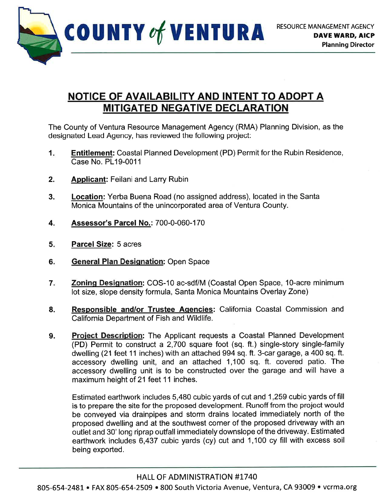

## NOTICE OF AVAILABILITY AND INTENT TO ADOPT A MITIGATED NEGATIVE DECLARATION

The County of Ventura Resource Management Agency (RMA) Planning Division, as the designated Lead Agency, has reviewed the following project:

- Entitlement: Coastal Planned Development (PD) Permit for the Rubin Residence, Case No. PL19-0011 1
- Applicant: Feilani and Larry Rubin 2.
- Location: Yerba Buena Road (no assigned address), located in the Santa Monica Mountains of the unincorporated area of Ventura County. 3.
- Assessor's Parcel No.: 700-0-060-170  $4.$
- Parcel Size: 5 acres  $5.$
- General Plan Designation: Open Space 6
- Zoning Designation: COS-10 ac-sdf/M (Coastal Open Space, 10-acre minimum lot size, slope density formula, Santa Monica Mountains Overlay Zone) 7
- Responsible and/or Trustee Aqencies: California Coastal Commission and California Department of Fish and Wildlife. 8.
- Project Description: The Applicant requests a Coastal Planned Development (PD) Permit to construct a 2,700 square foot (sq. ft.) single-story single-family dwelling (21 feet 11 inches) with an attached 994 sq. ft. 3-car garage, a 400 sq. ft. accessory dwelling unit, and an attached 1,100 sq. ft. covered patio. The accessory dwelling unit is to be constructed over the garage and will have a maximum height of 21 feet 11 inches. 9.

Estimated earthwork includes 5,480 cubic yards of cut and 1,259 cubic yards of fill is to prepare the site for the proposed development. Runoff from the project would be conveyed via drainpipes and storm drains located immediately north of the proposed dwelling and at the southwest comer of the proposed driveway with an outlet and 30' long riprap outfall immediately downslope of the driveway. Estimated earthwork includes 6,437 cubic yards (cy) cut and 1,100 cy fill with excess soil being exported.

805-654-2481 • FAX 805-654-2509 • 800 South Victoria Avenue, Ventura, CA 93009 • vcrma.org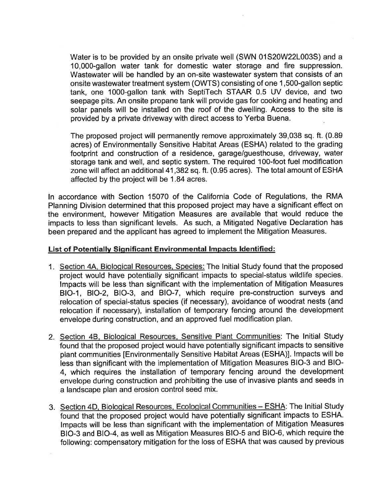Water is to be provided by an onsite private well (SWN 01S20W22L003S) and a 10,000-gallon water tank for domestic water storage and fire suppression. Wastewater will be handled by an on-site wastewater system that consists of an onsite wastewater treatment system (OWTS) consisting of one 1 ,SOO-gallon septic tank, one 1000-gallon tank with SeptiTech STAAR 0.5 UV device, and two seepage pits. An onsite propane tank will provide gas for cooking and heating and solar panels will be installed on the roof of the dwelling. Access to the site is provided by a private driveway with direct access to Yerba Buena.

The proposed project will permanently remove approximately 39,038 sq. ft. (0.89 acres) of Environmentally Sensitive Habitat Areas (ESHA) related to the grading footprint and construction of a residence, garage/guesthouse, driveway, water storage tank and well, and septic system. The required 1O0-foot fuel modification zone will affect an additional 41,382 sq. ft. (0.95 acres). The total amount of ESHA affected by the project will be 1.84 acres.

In accordance with Section 15070 of the California Code of Regulations, the RMA Planning Division determined that this proposed project may have a significant effect on the environment, however Mitigation Measures are available that would reduce the impacts to less than significant levels. As such, a Mitigated Negative Declaration has been prepared and the applicant has agreed to implement the Mitigation Measures.

## List of Potentially Significant Environmental Impacts Identified:

- 1. Section 4A, Bioloqical Resources. Species: The lnitial Study found that the proposed project would have potentially significant impacts to special-status wildlife species. lmpacts will be less than significant with the implementation of Mitigation Measures BIO-1, BIO-2, BIO-3, and BIO-7, which require pre-construction surveys and relocation of special-status species (if necessary), avoidance of woodrat nests (and relocation if necessary), installation of temporary fencing around the development envelope during construction, and an approved fuel modification plan.
- 2. Section 48. Bioloqical Resources. Sensitive Plant Communities: The Initial Study found that the proposed project would have potentially significant impacts to sensitive plant communities [Environmentally Sensitive Habitat Areas (ESHA)]. lmpacts will be less than significant with the implementation of Mitigation Measures BIO-3 and BIO-4, which requires the installation of temporary fencing around the development envelope during construction and prohibiting the use of invasive plants and seeds in a landscape plan and erosion control seed mix.
- 3. Section 4D, Biological Resources, Ecological Communities ESHA: The Initial Study found that the proposed project would have potentially significant impacts to ESHA. lmpacts will be less than significant with the implementation of Mitigation Measures BIO-3 and BIO-4, as well as Mitigation Measures BIO-5 and 810-6, which require the following: compensatory mitigation for the loss of ESHA that was caused by previous